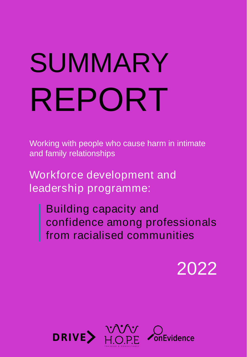# SUMMARY REPORT

Working with people who cause harm in intimate and family relationships

Workforce development and leadership programme:

> Building capacity and confidence among professionals from racialised communities

> > 2022

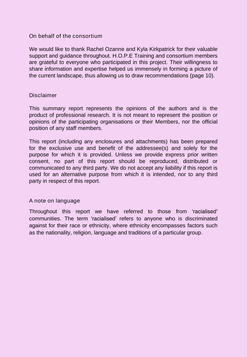#### On behalf of the consortium

We would like to thank Rachel Ozanne and Kyla Kirkpatrick for their valuable support and guidance throughout. H.O.P.E Training and consortium members are grateful to everyone who participated in this project. Their willingness to share information and expertise helped us immensely in forming a picture of the current landscape, thus allowing us to draw recommendations (page 10).

#### **Disclaimer**

This summary report represents the opinions of the authors and is the product of professional research. It is not meant to represent the position or opinions of the participating organisations or their Members, nor the official position of any staff members.

This report (including any enclosures and attachments) has been prepared for the exclusive use and benefit of the addressee(s) and solely for the purpose for which it is provided. Unless we provide express prior written consent, no part of this report should be reproduced, distributed or communicated to any third party. We do not accept any liability if this report is used for an alternative purpose from which it is intended, nor to any third party in respect of this report.

### A note on language

Throughout this report we have referred to those from 'racialised' communities. The term 'racialised' refers to anyone who is discriminated against for their race or ethnicity, where ethnicity encompasses factors such as the nationality, religion, language and traditions of a particular group.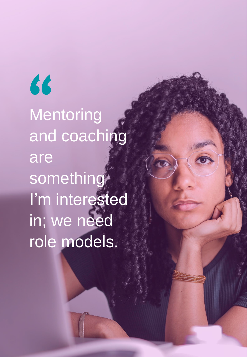**Mentoring** and coaching are something I'm interested in; we need role models. "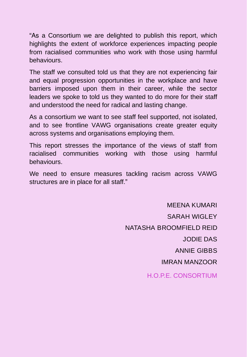"As a Consortium we are delighted to publish this report, which highlights the extent of workforce experiences impacting people from racialised communities who work with those using harmful behaviours.

The staff we consulted told us that they are not experiencing fair and equal progression opportunities in the workplace and have barriers imposed upon them in their career, while the sector leaders we spoke to told us they wanted to do more for their staff and understood the need for radical and lasting change.

As a consortium we want to see staff feel supported, not isolated, and to see frontline VAWG organisations create greater equity across systems and organisations employing them.

This report stresses the importance of the views of staff from racialised communities working with those using harmful behaviours.

We need to ensure measures tackling racism across VAWG structures are in place for all staff."

> MEENA KUMARI SARAH WIGLEY NATASHA BROOMFIELD REID JODIE DAS ANNIE GIBBS IMRAN MANZOOR H.O.P.E. CONSORTIUM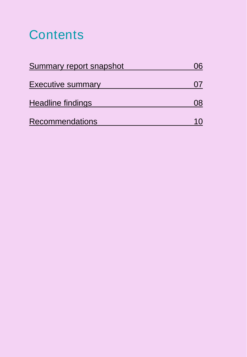# **Contents**

| Summary report snapshot  |  |
|--------------------------|--|
| <b>Executive summary</b> |  |
| Headline findings        |  |
| <b>Recommendations</b>   |  |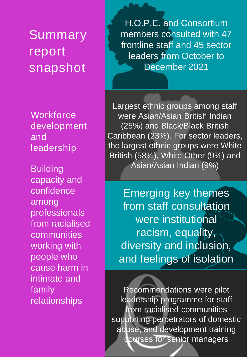<span id="page-5-0"></span>Summary report snapshot

**Workforce** development and leadership

**Building** capacity and confidence among professionals from racialised communities working with people who cause harm in intimate and family relationships

H.O.P.E. and Consortium members consulted with 47 frontline staff and 45 sector leaders from October to December 2021

Largest ethnic groups among staff were Asian/Asian British Indian (25%) and Black/Black British Caribbean (23%). For sector leaders, the largest ethnic groups were White British (58%), White Other (9%) and Asian/Asian Indian (9%)

Emerging key themes from staff consultation were institutional racism, equality, diversity and inclusion, and feelings of isolation

Recommendations were pilot leadership programme for staff fom racialised communities supporting perpetrators of domestic abuse, and development training courses for senior managers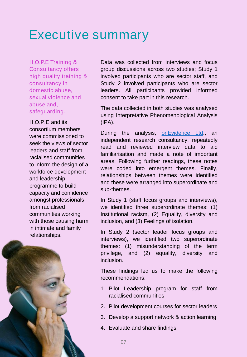# <span id="page-6-0"></span>Executive summary

H.O.P.E Training & Consultancy offers high quality training & consultancy in domestic abuse, sexual violence and abuse and, safeguarding.

H.O.P.E and its consortium members were commissioned to seek the views of sector leaders and staff from racialised communities to inform the design of a workforce development and leadership programme to build capacity and confidence amongst professionals from racialised communities working with those causing harm in intimate and family relationships.



The data collected in both studies was analysed using Interpretative Phenomenological Analysis (IPA).

During the analysis, [onEvidence](https://onevidence.co.uk/) Ltd., an independent research consultancy, repeatedly read and reviewed interview data to aid familiarisation and made a note of important areas. Following further readings, these notes were coded into emergent themes. Finally, relationships between themes were identified and these were arranged into superordinate and sub-themes.

In Study 1 (staff focus groups and interviews), we identified three superordinate themes: (1) Institutional racism, (2) Equality, diversity and inclusion, and (3) Feelings of isolation.

In Study 2 (sector leader focus groups and interviews), we identified two superordinate themes: (1) misunderstanding of the term privilege, and (2) equality, diversity and inclusion.

These findings led us to make the following recommendations:

- 1. Pilot Leadership program for staff from racialised communities
- 2. Pilot development courses for sector leaders
- 3. Develop a support network & action learning
- 4. Evaluate and share findings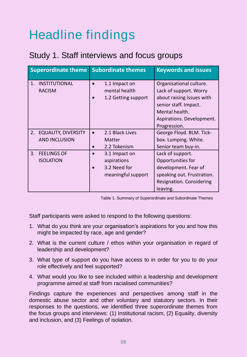# <span id="page-7-0"></span>Headline findings

# Study 1. Staff interviews and focus groups

| <b>Superordinate theme</b>                               | <b>Subordinate themes</b>                                          | <b>Keywords and issues</b>                                                                                                                                             |
|----------------------------------------------------------|--------------------------------------------------------------------|------------------------------------------------------------------------------------------------------------------------------------------------------------------------|
| <b>INSTITUTIONAL</b><br>1.<br><b>RACISM</b>              | 1.1 Impact on<br>mental health<br>1.2 Getting support              | Organisational culture.<br>Lack of support. Worry<br>about raising issues with<br>senior staff. Impact.<br>Mental health.<br>Aspirations. Development.<br>Progression. |
| <b>EQUALITY, DIVERSITY</b><br>2.<br><b>AND INCLUSION</b> | 2.1 Black Lives<br>Matter<br>2.2 Tokenism                          | George Floyd. BLM. Tick-<br>box. Lumping. White.<br>Senior team buy-in.                                                                                                |
| <b>FEELINGS OF</b><br>3.<br><b>ISOLATION</b>             | 3.1 Impact on<br>aspirations<br>3.2 Need for<br>meaningful support | Lack of support.<br>Opportunities for<br>development. Fear of<br>speaking out. Frustration.<br>Resignation. Considering<br>leaving.                                    |

| Table 1. Summary of Superordinate and Subordinate Themes |  |  |
|----------------------------------------------------------|--|--|
|----------------------------------------------------------|--|--|

Staff participants were asked to respond to the following questions:

- 1. What do you think are your organisation's aspirations for you and how this might be impacted by race, age and gender?
- 2. What is the current culture / ethos within your organisation in regard of leadership and development?
- 3. What type of support do you have access to in order for you to do your role effectively and feel supported?
- 4. What would you like to see included within a leadership and development programme aimed at staff from racialised communities?

Findings capture the experiences and perspectives among staff in the domestic abuse sector and other voluntary and statutory sectors. In their responses to the questions, we identified three superordinate themes from the focus groups and interviews: (1) Institutional racism, (2) Equality, diversity and inclusion, and (3) Feelings of isolation.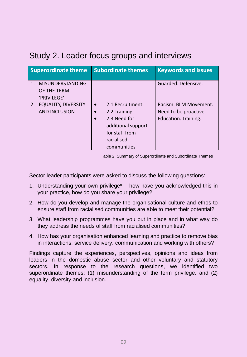# Study 2. Leader focus groups and interviews

| <b>Superordinate theme</b>                                              | <b>Subordinate themes</b>                                                                                                                                   | <b>Keywords and issues</b>                                             |
|-------------------------------------------------------------------------|-------------------------------------------------------------------------------------------------------------------------------------------------------------|------------------------------------------------------------------------|
| <b>MISUNDERSTANDING</b><br>1 <sub>1</sub><br>OF THE TERM<br>'PRIVILEGE' |                                                                                                                                                             | Guarded. Defensive.                                                    |
| <b>EQUALITY, DIVERSITY</b><br>2.<br><b>AND INCLUSION</b>                | 2.1 Recruitment<br>$\bullet$<br>2.2 Training<br>$\bullet$<br>2.3 Need for<br>$\bullet$<br>additional support<br>for staff from<br>racialised<br>communities | Racism. BLM Movement.<br>Need to be proactive.<br>Education. Training. |

Table 2. Summary of Superordinate and Subordinate Themes

Sector leader participants were asked to discuss the following questions:

- 1. Understanding your own privilege\* how have you acknowledged this in your practice, how do you share your privilege?
- 2. How do you develop and manage the organisational culture and ethos to ensure staff from racialised communities are able to meet their potential?
- 3. What leadership programmes have you put in place and in what way do they address the needs of staff from racialised communities?
- 4. How has your organisation enhanced learning and practice to remove bias in interactions, service delivery, communication and working with others?

Findings capture the experiences, perspectives, opinions and ideas from leaders in the domestic abuse sector and other voluntary and statutory sectors. In response to the research questions, we identified two superordinate themes: (1) misunderstanding of the term privilege, and (2) equality, diversity and inclusion.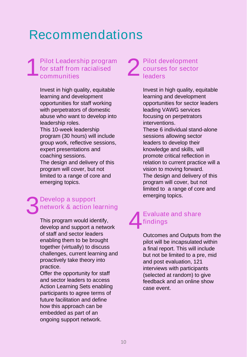# <span id="page-9-0"></span>Recommendations

#### 1 Pilot Leadership program for staff from racialised communities

Invest in high quality, equitable learning and development opportunities for staff working with perpetrators of domestic abuse who want to develop into leadership roles. This 10-week leadership program (30 hours) will include group work, reflective sessions, expert presentations and coaching sessions. The design and delivery of this program will cover, but not limited to a range of core and emerging topics.

## Develop a support<br>
network & action learning<br>
Evaluate and Develop a support network & action learning

This program would identify, develop and support a network of staff and sector leaders enabling them to be brought together (virtually) to discuss challenges, current learning and proactively take theory into practice.

Offer the opportunity for staff and sector leaders to access Action Learning Sets enabling participants to agree terms of future facilitation and define how this approach can be embedded as part of an ongoing support network.

#### 2 Pilot development courses for sector **leaders**

Invest in high quality, equitable learning and development opportunities for sector leaders leading VAWG services focusing on perpetrators interventions.

These 6 individual stand-alone sessions allowing sector leaders to develop their knowledge and skills, will promote critical reflection in relation to current practice will a vision to moving forward. The design and delivery of this program will cover, but not limited to a range of core and

## 4 Evaluate and share findings

Outcomes and Outputs from the pilot will be incapsulated within a final report. This will include but not be limited to a pre, mid and post evaluation, 121 interviews with participants (selected at random) to give feedback and an online show case event.